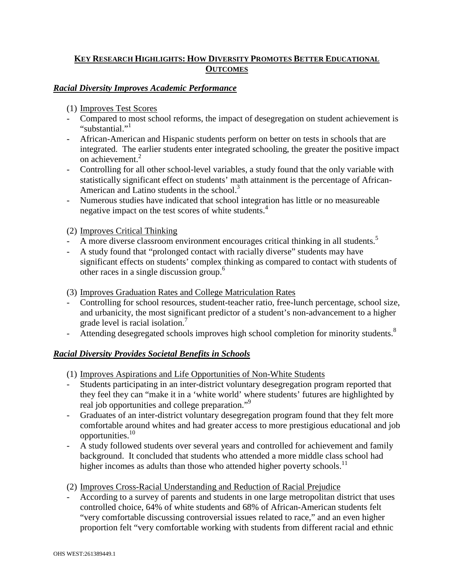## **KEY RESEARCH HIGHLIGHTS: HOW DIVERSITY PROMOTES BETTER EDUCATIONAL OUTCOMES**

## *Racial Diversity Improves Academic Performance*

(1) Improves Test Scores

- Compared to most school reforms, the impact of desegregation on student achievement is "substantial."
- African-American and Hispanic students perform on better on tests in schools that are integrated. The earlier students enter integrated schooling, the greater the positive impact on achievement.<sup>2</sup>
- Controlling for all other school-level variables, a study found that the only variable with statistically significant effect on students' math attainment is the percentage of African-American and Latino students in the school. $3$
- Numerous studies have indicated that school integration has little or no measureable negative impact on the test scores of white students.<sup>4</sup>

(2) Improves Critical Thinking

- A more diverse classroom environment encourages critical thinking in all students.<sup>5</sup>
- A study found that "prolonged contact with racially diverse" students may have significant effects on students' complex thinking as compared to contact with students of other races in a single discussion group.<sup>6</sup>

(3) Improves Graduation Rates and College Matriculation Rates

- Controlling for school resources, student-teacher ratio, free-lunch percentage, school size, and urbanicity, the most significant predictor of a student's non-advancement to a higher grade level is racial isolation.<sup>7</sup>
- Attending desegregated schools improves high school completion for minority students.<sup>8</sup>

## *Racial Diversity Provides Societal Benefits in Schools*

- (1) Improves Aspirations and Life Opportunities of Non-White Students
- Students participating in an inter-district voluntary desegregation program reported that they feel they can "make it in a 'white world' where students' futures are highlighted by real job opportunities and college preparation."<sup>9</sup>
- Graduates of an inter-district voluntary desegregation program found that they felt more comfortable around whites and had greater access to more prestigious educational and job opportunities.<sup>10</sup>
- A study followed students over several years and controlled for achievement and family background. It concluded that students who attended a more middle class school had higher incomes as adults than those who attended higher poverty schools.<sup>11</sup>
- (2) Improves Cross-Racial Understanding and Reduction of Racial Prejudice
- According to a survey of parents and students in one large metropolitan district that uses controlled choice, 64% of white students and 68% of African-American students felt "very comfortable discussing controversial issues related to race," and an even higher proportion felt "very comfortable working with students from different racial and ethnic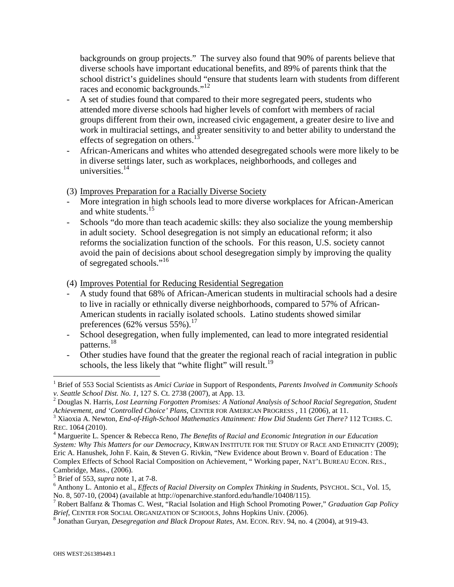backgrounds on group projects." The survey also found that 90% of parents believe that diverse schools have important educational benefits, and 89% of parents think that the school district's guidelines should "ensure that students learn with students from different races and economic backgrounds."<sup>12</sup>

- A set of studies found that compared to their more segregated peers, students who attended more diverse schools had higher levels of comfort with members of racial groups different from their own, increased civic engagement, a greater desire to live and work in multiracial settings, and greater sensitivity to and better ability to understand the effects of segregation on others.<sup>1</sup>
- African-Americans and whites who attended desegregated schools were more likely to be in diverse settings later, such as workplaces, neighborhoods, and colleges and universities. $14$
- (3) Improves Preparation for a Racially Diverse Society
- More integration in high schools lead to more diverse workplaces for African-American and white students.<sup>15</sup>
- Schools "do more than teach academic skills: they also socialize the young membership in adult society. School desegregation is not simply an educational reform; it also reforms the socialization function of the schools. For this reason, U.S. society cannot avoid the pain of decisions about school desegregation simply by improving the quality of segregated schools."<sup>16</sup>
- (4) Improves Potential for Reducing Residential Segregation
- A study found that 68% of African-American students in multiracial schools had a desire to live in racially or ethnically diverse neighborhoods, compared to 57% of African-American students in racially isolated schools. Latino students showed similar preferences (62% versus  $55\%$ ).<sup>17</sup>
- School desegregation, when fully implemented, can lead to more integrated residential patterns.<sup>18</sup>
- Other studies have found that the greater the regional reach of racial integration in public schools, the less likely that "white flight" will result.<sup>19</sup>

 $\overline{a}$ <sup>1</sup> Brief of 553 Social Scientists as *Amici Curiae* in Support of Respondents, *Parents Involved in Community Schools v. Seattle School Dist. No. 1*, 127 S. Ct. 2738 (2007), at App. 13.

<sup>2</sup> Douglas N. Harris, *Lost Learning Forgotten Promises: A National Analysis of School Racial Segregation, Student* 

*Achievement, and 'Controlled Choice' Plans*, CENTER FOR AMERICAN PROGRESS , 11 (2006), at 11. 3 Xiaoxia A. Newton, *End-of-High-School Mathematics Attainment: How Did Students Get There?* 112 TCHRS. C. REC. 1064 (2010).

<sup>&</sup>lt;sup>4</sup> Marguerite L. Spencer & Rebecca Reno, *The Benefits of Racial and Economic Integration in our Education System: Why This Matters for our Democracy*, KIRWAN INSTITUTE FOR THE STUDY OF RACE AND ETHNICITY (2009); Eric A. Hanushek, John F. Kain, & Steven G. Rivkin, "New Evidence about Brown v. Board of Education : The Complex Effects of School Racial Composition on Achievement, " Working paper, NAT'L BUREAU ECON. RES., Cambridge, Mass., (2006).

<sup>5</sup> Brief of 553, *supra* note 1, at 7-8.

<sup>6</sup> Anthony L. Antonio et al., *Effects of Racial Diversity on Complex Thinking in Students*, PSYCHOL. SCI., Vol. 15, No. 8, 507-10, (2004) (available at http://openarchive.stanford.edu/handle/10408/115).

<sup>7</sup> Robert Balfanz & Thomas C. West, "Racial Isolation and High School Promoting Power," *Graduation Gap Policy Brief*, CENTER FOR SOCIAL ORGANIZATION OF SCHOOLS, Johns Hopkins Univ. (2006).

<sup>8</sup> Jonathan Guryan, *Desegregation and Black Dropout Rates*, AM. ECON. REV. 94, no. 4 (2004), at 919-43.